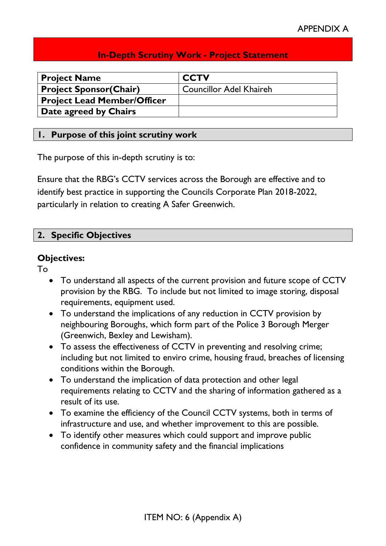# **In-Depth Scrutiny Work - Project Statement**

| <b>Project Name</b>                | <b>CCTV</b>                    |
|------------------------------------|--------------------------------|
| <b>Project Sponsor(Chair)</b>      | <b>Councillor Adel Khaireh</b> |
| <b>Project Lead Member/Officer</b> |                                |
| Date agreed by Chairs              |                                |

#### **1. Purpose of this joint scrutiny work**

The purpose of this in-depth scrutiny is to:

Ensure that the RBG's CCTV services across the Borough are effective and to identify best practice in supporting the Councils Corporate Plan 2018-2022, particularly in relation to creating A Safer Greenwich.

## **2. Specific Objectives**

#### **Objectives:**

To

- To understand all aspects of the current provision and future scope of CCTV provision by the RBG. To include but not limited to image storing, disposal requirements, equipment used.
- To understand the implications of any reduction in CCTV provision by neighbouring Boroughs, which form part of the Police 3 Borough Merger (Greenwich, Bexley and Lewisham).
- To assess the effectiveness of CCTV in preventing and resolving crime; including but not limited to enviro crime, housing fraud, breaches of licensing conditions within the Borough.
- To understand the implication of data protection and other legal requirements relating to CCTV and the sharing of information gathered as a result of its use.
- To examine the efficiency of the Council CCTV systems, both in terms of infrastructure and use, and whether improvement to this are possible.
- To identify other measures which could support and improve public confidence in community safety and the financial implications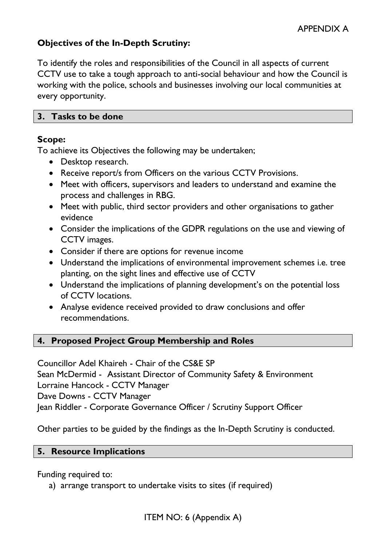# **Objectives of the In-Depth Scrutiny:**

To identify the roles and responsibilities of the Council in all aspects of current CCTV use to take a tough approach to anti-social behaviour and how the Council is working with the police, schools and businesses involving our local communities at every opportunity.

#### **3. Tasks to be done**

## **Scope:**

To achieve its Objectives the following may be undertaken;

- Desktop research.
- Receive report/s from Officers on the various CCTV Provisions.
- Meet with officers, supervisors and leaders to understand and examine the process and challenges in RBG.
- Meet with public, third sector providers and other organisations to gather evidence
- Consider the implications of the GDPR regulations on the use and viewing of CCTV images.
- Consider if there are options for revenue income
- Understand the implications of environmental improvement schemes i.e. tree planting, on the sight lines and effective use of CCTV
- Understand the implications of planning development's on the potential loss of CCTV locations.
- Analyse evidence received provided to draw conclusions and offer recommendations.

## **4. Proposed Project Group Membership and Roles**

Councillor Adel Khaireh - Chair of the CS&E SP Sean McDermid - Assistant Director of Community Safety & Environment Lorraine Hancock - CCTV Manager Dave Downs - CCTV Manager Jean Riddler - Corporate Governance Officer / Scrutiny Support Officer

Other parties to be guided by the findings as the In-Depth Scrutiny is conducted.

#### **5. Resource Implications**

Funding required to:

a) arrange transport to undertake visits to sites (if required)